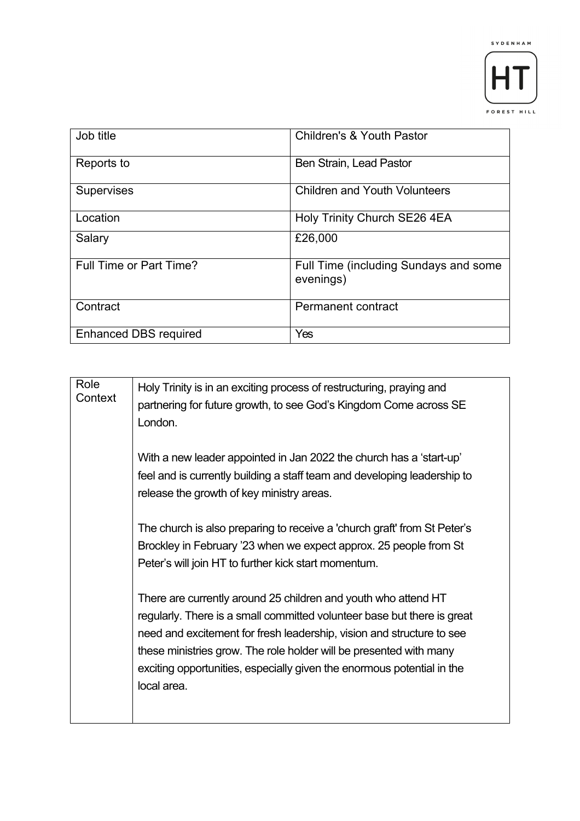



| Job title                    | <b>Children's &amp; Youth Pastor</b>               |
|------------------------------|----------------------------------------------------|
| Reports to                   | Ben Strain, Lead Pastor                            |
| <b>Supervises</b>            | <b>Children and Youth Volunteers</b>               |
| Location                     | Holy Trinity Church SE26 4EA                       |
| Salary                       | £26,000                                            |
| Full Time or Part Time?      | Full Time (including Sundays and some<br>evenings) |
| Contract                     | Permanent contract                                 |
| <b>Enhanced DBS required</b> | Yes                                                |

| Holy Trinity is in an exciting process of restructuring, praying and<br>partnering for future growth, to see God's Kingdom Come across SE<br>London.                                                                                                                                                                                                                              |
|-----------------------------------------------------------------------------------------------------------------------------------------------------------------------------------------------------------------------------------------------------------------------------------------------------------------------------------------------------------------------------------|
| With a new leader appointed in Jan 2022 the church has a 'start-up'<br>feel and is currently building a staff team and developing leadership to<br>release the growth of key ministry areas.                                                                                                                                                                                      |
| The church is also preparing to receive a 'church graft' from St Peter's<br>Brockley in February '23 when we expect approx. 25 people from St<br>Peter's will join HT to further kick start momentum.                                                                                                                                                                             |
| There are currently around 25 children and youth who attend HT<br>regularly. There is a small committed volunteer base but there is great<br>need and excitement for fresh leadership, vision and structure to see<br>these ministries grow. The role holder will be presented with many<br>exciting opportunities, especially given the enormous potential in the<br>local area. |
|                                                                                                                                                                                                                                                                                                                                                                                   |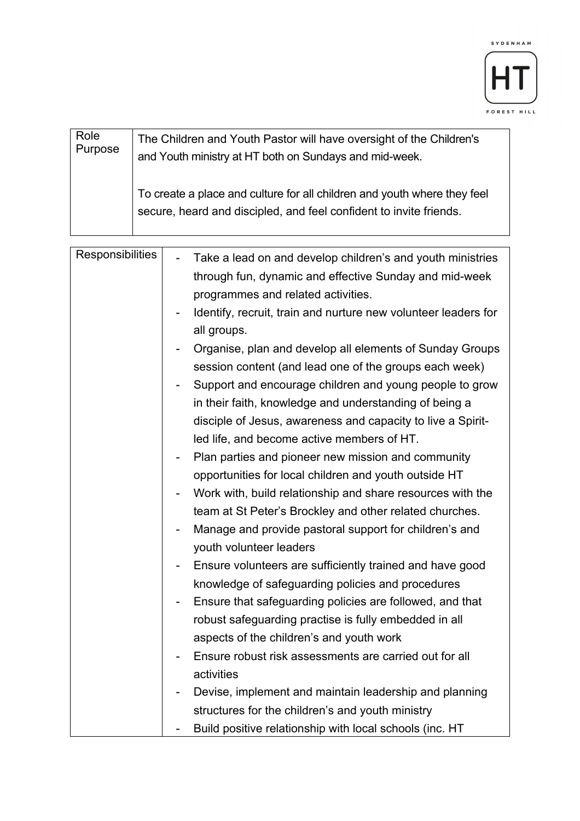

| Role    | The Children and Youth Pastor will have oversight of the Children's                                                                            |
|---------|------------------------------------------------------------------------------------------------------------------------------------------------|
| Purpose | and Youth ministry at HT both on Sundays and mid-week.                                                                                         |
|         | To create a place and culture for all children and youth where they feel<br>secure, heard and discipled, and feel confident to invite friends. |

| Responsibilities | Take a lead on and develop children's and youth ministries     |
|------------------|----------------------------------------------------------------|
|                  | through fun, dynamic and effective Sunday and mid-week         |
|                  | programmes and related activities.                             |
|                  | Identify, recruit, train and nurture new volunteer leaders for |
|                  | all groups.                                                    |
|                  | Organise, plan and develop all elements of Sunday Groups       |
|                  | session content (and lead one of the groups each week)         |
|                  | Support and encourage children and young people to grow        |
|                  | in their faith, knowledge and understanding of being a         |
|                  | disciple of Jesus, awareness and capacity to live a Spirit-    |
|                  | led life, and become active members of HT.                     |
|                  | Plan parties and pioneer new mission and community             |
|                  | opportunities for local children and youth outside HT          |
|                  | Work with, build relationship and share resources with the     |
|                  | team at St Peter's Brockley and other related churches.        |
|                  | Manage and provide pastoral support for children's and         |
|                  | youth volunteer leaders                                        |
|                  | Ensure volunteers are sufficiently trained and have good       |
|                  | knowledge of safeguarding policies and procedures              |
|                  | Ensure that safeguarding policies are followed, and that       |
|                  | robust safeguarding practise is fully embedded in all          |
|                  | aspects of the children's and youth work                       |
|                  | Ensure robust risk assessments are carried out for all         |
|                  | activities                                                     |
|                  | Devise, implement and maintain leadership and planning         |
|                  | structures for the children's and youth ministry               |
|                  | Build positive relationship with local schools (inc. HT        |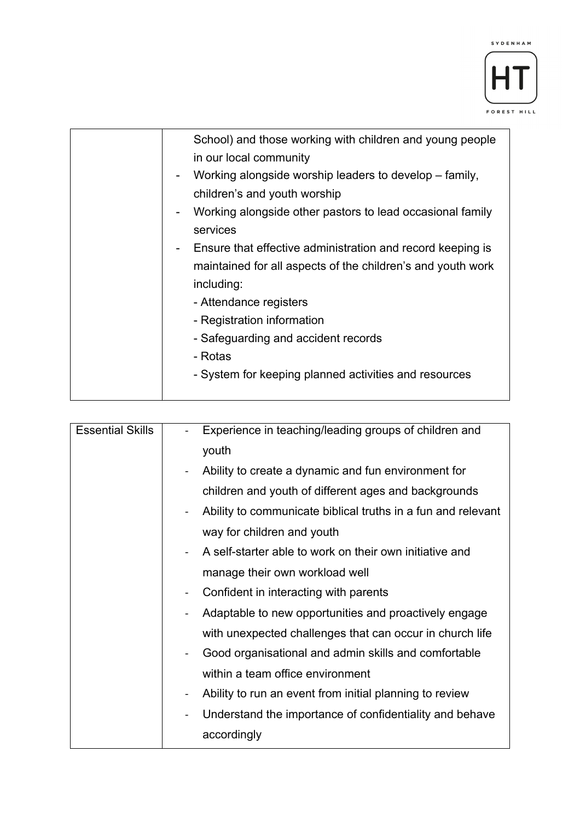

| School) and those working with children and young people                                          |
|---------------------------------------------------------------------------------------------------|
| in our local community                                                                            |
| Working alongside worship leaders to develop – family,<br>-                                       |
| children's and youth worship                                                                      |
| Working alongside other pastors to lead occasional family<br>$\overline{\phantom{a}}$<br>services |
|                                                                                                   |
| Ensure that effective administration and record keeping is<br>$\overline{\phantom{a}}$            |
| maintained for all aspects of the children's and youth work                                       |
| including:                                                                                        |
| - Attendance registers                                                                            |
| - Registration information                                                                        |
| - Safeguarding and accident records                                                               |
| - Rotas                                                                                           |
| - System for keeping planned activities and resources                                             |
|                                                                                                   |

| Experience in teaching/leading groups of children and                                        |
|----------------------------------------------------------------------------------------------|
| youth                                                                                        |
| Ability to create a dynamic and fun environment for                                          |
| children and youth of different ages and backgrounds                                         |
| Ability to communicate biblical truths in a fun and relevant<br>$\qquad \qquad \blacksquare$ |
| way for children and youth                                                                   |
| A self-starter able to work on their own initiative and                                      |
| manage their own workload well                                                               |
| Confident in interacting with parents<br>$\qquad \qquad \blacksquare$                        |
| Adaptable to new opportunities and proactively engage<br>$\qquad \qquad \blacksquare$        |
| with unexpected challenges that can occur in church life                                     |
| Good organisational and admin skills and comfortable<br>$\overline{\phantom{0}}$             |
| within a team office environment                                                             |
| Ability to run an event from initial planning to review                                      |
| Understand the importance of confidentiality and behave<br>$\qquad \qquad \blacksquare$      |
| accordingly                                                                                  |
|                                                                                              |